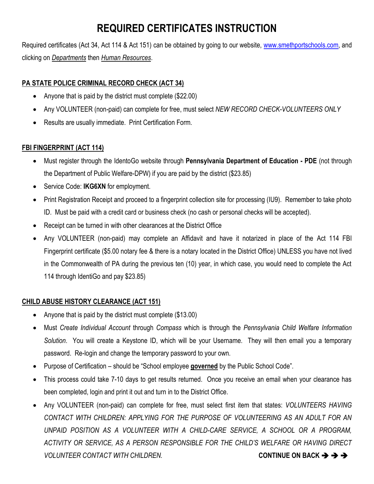# **REQUIRED CERTIFICATES INSTRUCTION**

Required certificates (Act 34, Act 114 & Act 151) can be obtained by going to our website, [www.smethportschools.com,](http://www.smethportschools.com/) and clicking on *Departments* then *Human Resources*.

### **PA STATE POLICE CRIMINAL RECORD CHECK (ACT 34)**

- Anyone that is paid by the district must complete (\$22.00)
- Any VOLUNTEER (non-paid) can complete for free, must select *NEW RECORD CHECK-VOLUNTEERS ONLY*
- Results are usually immediate. Print Certification Form.

#### **FBI FINGERPRINT (ACT 114)**

- Must register through the IdentoGo website through **Pennsylvania Department of Education - PDE** (not through the Department of Public Welfare-DPW) if you are paid by the district (\$23.85)
- **Service Code: IKG6XN for employment.**
- Print Registration Receipt and proceed to a fingerprint collection site for processing (IU9). Remember to take photo ID. Must be paid with a credit card or business check (no cash or personal checks will be accepted).
- Receipt can be turned in with other clearances at the District Office
- Any VOLUNTEER (non-paid) may complete an Affidavit and have it notarized in place of the Act 114 FBI Fingerprint certificate (\$5.00 notary fee & there is a notary located in the District Office) UNLESS you have not lived in the Commonwealth of PA during the previous ten (10) year, in which case, you would need to complete the Act 114 through IdentiGo and pay \$23.85)

#### **CHILD ABUSE HISTORY CLEARANCE (ACT 151)**

- Anyone that is paid by the district must complete (\$13.00)
- Must *Create Individual Account* through *Compass* which is through the *Pennsylvania Child Welfare Information Solution*. You will create a Keystone ID, which will be your Username. They will then email you a temporary password. Re-login and change the temporary password to your own.
- Purpose of Certification should be "School employee **governed** by the Public School Code".
- This process could take 7-10 days to get results returned. Once you receive an email when your clearance has been completed, login and print it out and turn in to the District Office.
- Any VOLUNTEER (non-paid) can complete for free, must select first item that states: *VOLUNTEERS HAVING CONTACT WITH CHILDREN: APPLYING FOR THE PURPOSE OF VOLUNTEERING AS AN ADULT FOR AN UNPAID POSITION AS A VOLUNTEER WITH A CHILD-CARE SERVICE, A SCHOOL OR A PROGRAM, ACTIVITY OR SERVICE, AS A PERSON RESPONSIBLE FOR THE CHILD'S WELFARE OR HAVING DIRECT VOLUNTEER CONTACT WITH CHILDREN.* **CONTINUE ON BACK**